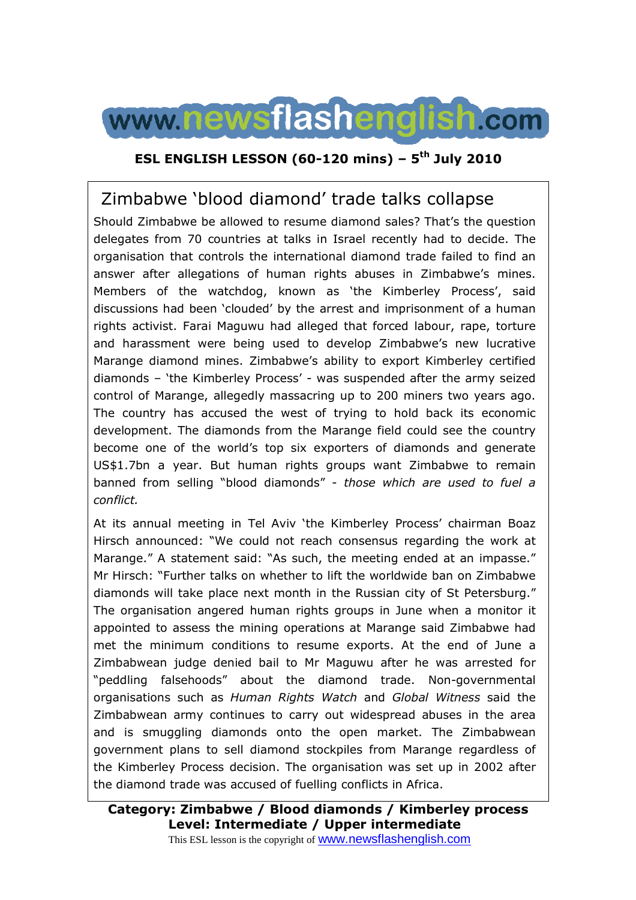

## **ESL ENGLISH LESSON (60-120 mins) – 5th July 2010**

# Zimbabwe 'blood diamond' trade talks collapse

Should Zimbabwe be allowed to resume diamond sales? That's the question delegates from 70 countries at talks in Israel recently had to decide. The organisation that controls the international diamond trade failed to find an answer after allegations of human rights abuses in Zimbabwe's mines. Members of the watchdog, known as 'the Kimberley Process', said discussions had been 'clouded' by the arrest and imprisonment of a human rights activist. Farai Maguwu had alleged that forced labour, rape, torture and harassment were being used to develop Zimbabwe's new lucrative Marange diamond mines. Zimbabwe's ability to export Kimberley certified diamonds – 'the Kimberley Process' - was suspended after the army seized control of Marange, allegedly massacring up to 200 miners two years ago. The country has accused the west of trying to hold back its economic development. The diamonds from the Marange field could see the country become one of the world's top six exporters of diamonds and generate US\$1.7bn a year. But human rights groups want Zimbabwe to remain banned from selling "blood diamonds" - *those which are used to fuel a conflict.* 

At its annual meeting in Tel Aviv 'the Kimberley Process' chairman Boaz Hirsch announced: "We could not reach consensus regarding the work at Marange." A statement said: "As such, the meeting ended at an impasse." Mr Hirsch: "Further talks on whether to lift the worldwide ban on Zimbabwe diamonds will take place next month in the Russian city of St Petersburg." The organisation angered human rights groups in June when a monitor it appointed to assess the mining operations at Marange said Zimbabwe had met the minimum conditions to resume exports. At the end of June a Zimbabwean judge denied bail to Mr Maguwu after he was arrested for "peddling falsehoods" about the diamond trade. Non-governmental organisations such as *Human Rights Watch* and *Global Witness* said the Zimbabwean army continues to carry out widespread abuses in the area and is smuggling diamonds onto the open market. The Zimbabwean government plans to sell diamond stockpiles from Marange regardless of the Kimberley Process decision. The organisation was set up in 2002 after the diamond trade was accused of fuelling conflicts in Africa.

**Category: Zimbabwe / Blood diamonds / Kimberley process Level: Intermediate / Upper intermediate** This ESL lesson is the copyright of www.newsflashenglish.com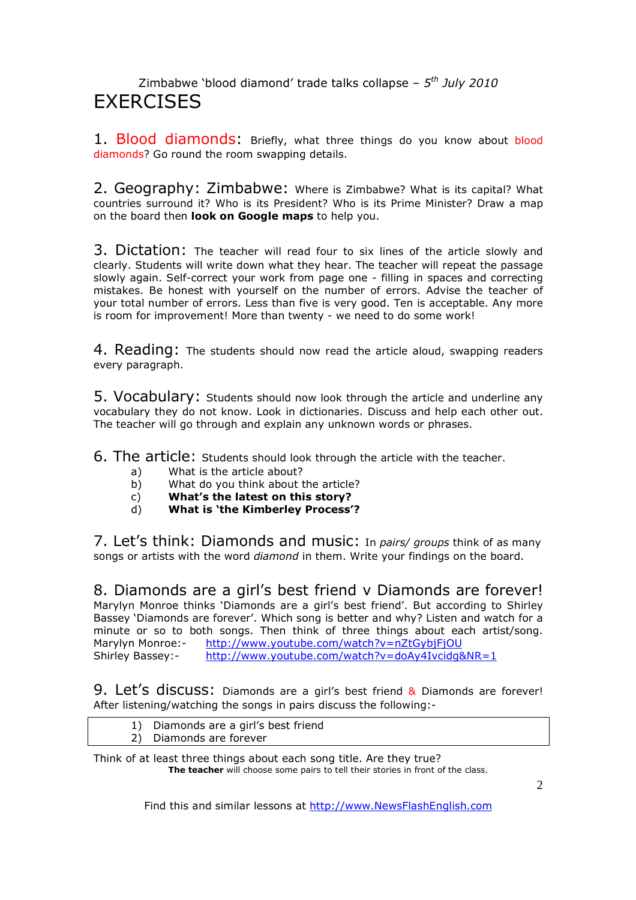### Zimbabwe 'blood diamond' trade talks collapse – *5 th July 2010* **FXFRCISES**

1. Blood diamonds: Briefly, what three things do you know about blood diamonds? Go round the room swapping details.

2. Geography: Zimbabwe: Where is Zimbabwe? What is its capital? What countries surround it? Who is its President? Who is its Prime Minister? Draw a map on the board then **look on Google maps** to help you.

3. Dictation: The teacher will read four to six lines of the article slowly and clearly. Students will write down what they hear. The teacher will repeat the passage slowly again. Self-correct your work from page one - filling in spaces and correcting mistakes. Be honest with yourself on the number of errors. Advise the teacher of your total number of errors. Less than five is very good. Ten is acceptable. Any more is room for improvement! More than twenty - we need to do some work!

4. Reading: The students should now read the article aloud, swapping readers every paragraph.

5. Vocabulary: Students should now look through the article and underline any vocabulary they do not know. Look in dictionaries. Discuss and help each other out. The teacher will go through and explain any unknown words or phrases.

6. The article: Students should look through the article with the teacher.

- a) What is the article about?
- b) What do you think about the article?
- c) **What's the latest on this story?**
- d) **What is 'the Kimberley Process'?**

7. Let's think: Diamonds and music: In *pairs/ groups* think of as many songs or artists with the word *diamond* in them. Write your findings on the board.

8. Diamonds are a girl's best friend v Diamonds are forever! Marylyn Monroe thinks 'Diamonds are a girl's best friend'. But according to Shirley Bassey 'Diamonds are forever'. Which song is better and why? Listen and watch for a minute or so to both songs. Then think of three things about each artist/song. Marylyn Monroe: http://www.youtube.com/watch?v=nZtGybjFjOU Shirley Bassey:- http://www.youtube.com/watch?v=doAy4Ivcidg&NR=1

9. Let's discuss: Diamonds are a girl's best friend & Diamonds are forever! After listening/watching the songs in pairs discuss the following:-

| Diamonds are a girl's best friend |
|-----------------------------------|
| Diamonds are forever              |

Think of at least three things about each song title. Are they true? **The teacher** will choose some pairs to tell their stories in front of the class.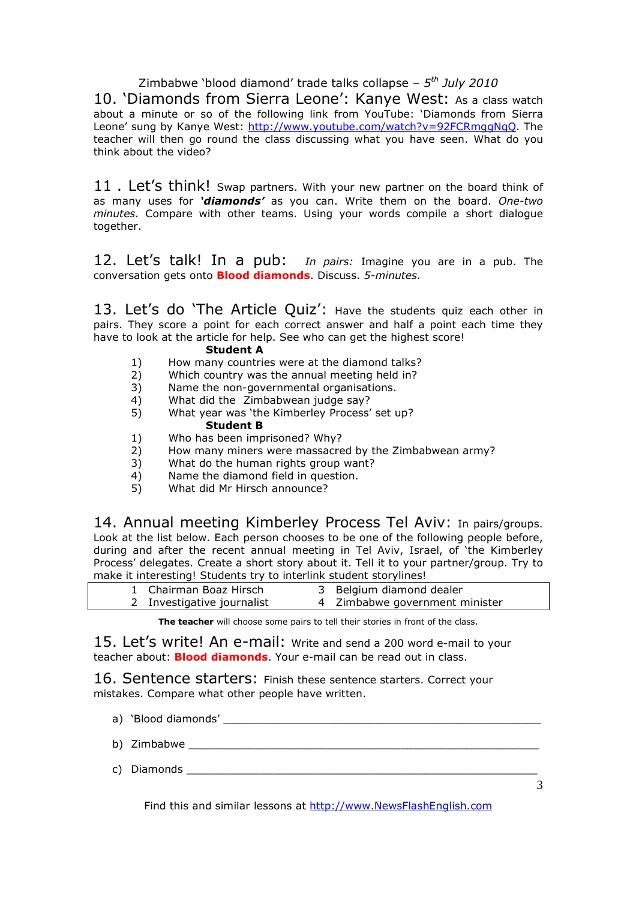Zimbabwe 'blood diamond' trade talks collapse – *5 th July 2010* 10. 'Diamonds from Sierra Leone': Kanye West: As a class watch

about a minute or so of the following link from YouTube: 'Diamonds from Sierra Leone' sung by Kanye West: http://www.youtube.com/watch?v=92FCRmggNqQ. The teacher will then go round the class discussing what you have seen. What do you think about the video?

11. Let's think! Swap partners. With your new partner on the board think of as many uses for *'diamonds'* as you can. Write them on the board. *One-two minutes.* Compare with other teams. Using your words compile a short dialogue together.

12. Let's talk! In a pub: *In pairs:* Imagine you are in a pub. The conversation gets onto **Blood diamonds**. Discuss. *5-minutes.* 

13. Let's do 'The Article Quiz': Have the students quiz each other in pairs. They score a point for each correct answer and half a point each time they have to look at the article for help. See who can get the highest score!

### **Student A**

- 1) How many countries were at the diamond talks?
- 2) Which country was the annual meeting held in?
- 3) Name the non-governmental organisations.
- 4) What did the Zimbabwean judge say?
- 5) What year was 'the Kimberley Process' set up? **Student B**
- 1) Who has been imprisoned? Why?
- 2) How many miners were massacred by the Zimbabwean army?<br>3) What do the human rights group want?
- What do the human rights group want?
- 4) Name the diamond field in question.
- 5) What did Mr Hirsch announce?

14. Annual meeting Kimberley Process Tel Aviv: In pairs/groups. Look at the list below. Each person chooses to be one of the following people before, during and after the recent annual meeting in Tel Aviv, Israel, of 'the Kimberley Process' delegates. Create a short story about it. Tell it to your partner/group. Try to make it interesting! Students try to interlink student storylines!

| 1 Chairman Boaz Hirsch     | 3 Belgium diamond dealer       |
|----------------------------|--------------------------------|
| 2 Investigative journalist | 4 Zimbabwe government minister |

**The teacher** will choose some pairs to tell their stories in front of the class.

15. Let's write! An e-mail: Write and send a 200 word e-mail to your teacher about: **Blood diamonds**. Your e-mail can be read out in class.

16. Sentence starters: Finish these sentence starters. Correct your mistakes. Compare what other people have written.

- a) 'Blood diamonds' \_\_\_\_\_\_\_\_\_\_\_\_\_\_\_\_\_\_\_\_\_\_\_\_\_\_\_\_\_\_\_\_\_\_\_\_\_\_\_\_\_\_\_\_\_\_\_\_
- b) Zimbabwe **but allowers**
- c) Diamonds \_\_\_\_\_\_\_\_\_\_\_\_\_\_\_\_\_\_\_\_\_\_\_\_\_\_\_\_\_\_\_\_\_\_\_\_\_\_\_\_\_\_\_\_\_\_\_\_\_\_\_\_\_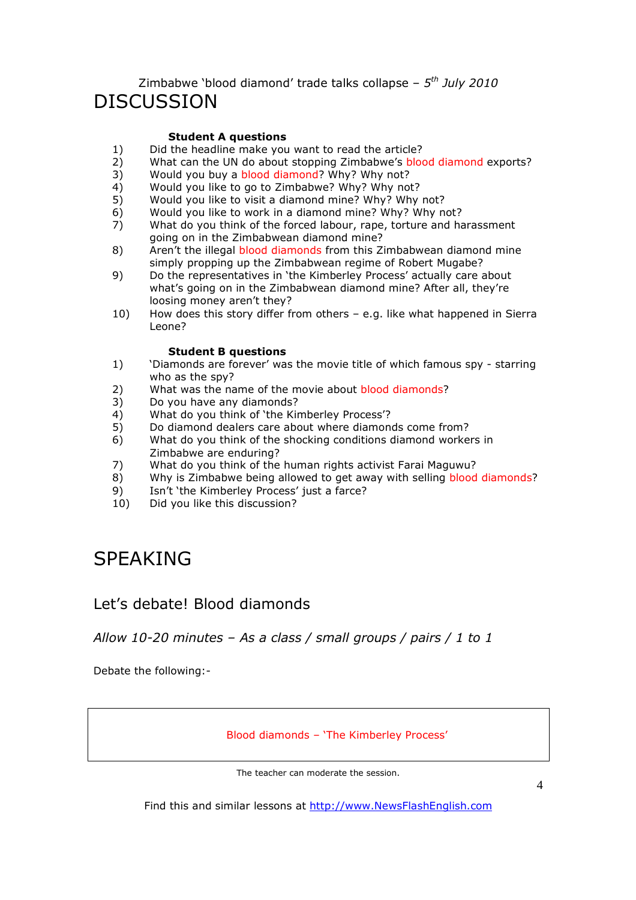### Zimbabwe 'blood diamond' trade talks collapse – *5 th July 2010* DISCUSSION

#### **Student A questions**

- 1) Did the headline make you want to read the article?<br>2) What can the UN do about stopping Zimbabwe's bloc
- What can the UN do about stopping Zimbabwe's blood diamond exports?
- 3) Would you buy a blood diamond? Why? Why not?
- 4) Would you like to go to Zimbabwe? Why? Why not?<br>5) Would you like to visit a diamond mine? Why? Why
- 5) Would you like to visit a diamond mine? Why? Why not?
- 6) Would you like to work in a diamond mine? Why? Why not?
- 7) What do you think of the forced labour, rape, torture and harassment going on in the Zimbabwean diamond mine?
- 8) Aren't the illegal blood diamonds from this Zimbabwean diamond mine simply propping up the Zimbabwean regime of Robert Mugabe?
- 9) Do the representatives in 'the Kimberley Process' actually care about what's going on in the Zimbabwean diamond mine? After all, they're loosing money aren't they?
- 10) How does this story differ from others e.g. like what happened in Sierra Leone?

#### **Student B questions**

- 1) 'Diamonds are forever' was the movie title of which famous spy starring who as the spy?
- 2) What was the name of the movie about blood diamonds?
- 3) Do you have any diamonds?
- 4) What do you think of 'the Kimberley Process'?<br>5) Do diamond dealers care about where diamon
- 5) Do diamond dealers care about where diamonds come from?
- 6) What do you think of the shocking conditions diamond workers in Zimbabwe are enduring?
- 7) What do you think of the human rights activist Farai Maguwu?
- 8) Why is Zimbabwe being allowed to get away with selling blood diamonds?
- 9) Isn't 'the Kimberley Process' just a farce?
- 10) Did you like this discussion?

# SPEAKING

### Let's debate! Blood diamonds

### *Allow 10-20 minutes – As a class / small groups / pairs / 1 to 1*

Debate the following:-

Blood diamonds – 'The Kimberley Process'

The teacher can moderate the session.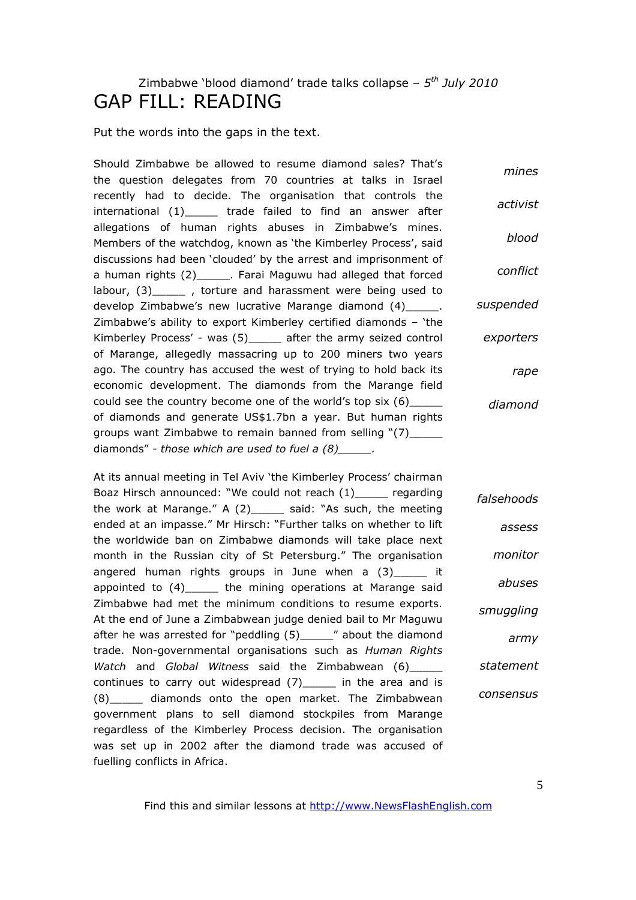## Zimbabwe 'blood diamond' trade talks collapse – *5 th July 2010* GAP FILL: READING

Put the words into the gaps in the text.

Should Zimbabwe be allowed to resume diamond sales? That's the question delegates from 70 countries at talks in Israel recently had to decide. The organisation that controls the international (1)\_\_\_\_\_ trade failed to find an answer after allegations of human rights abuses in Zimbabwe's mines. Members of the watchdog, known as 'the Kimberley Process', said discussions had been 'clouded' by the arrest and imprisonment of a human rights (2)\_\_\_\_\_. Farai Maguwu had alleged that forced labour, (3) \_\_\_\_\_ , torture and harassment were being used to develop Zimbabwe's new lucrative Marange diamond (4)\_\_\_\_\_\_. Zimbabwe's ability to export Kimberley certified diamonds – 'the Kimberley Process' - was (5) after the army seized control of Marange, allegedly massacring up to 200 miners two years ago. The country has accused the west of trying to hold back its economic development. The diamonds from the Marange field could see the country become one of the world's top six (6)\_\_\_\_\_ of diamonds and generate US\$1.7bn a year. But human rights groups want Zimbabwe to remain banned from selling "(7)\_\_\_\_ diamonds" *- those which are used to fuel a (8)\_\_\_\_\_. mines activist blood conflict suspended exporters rape diamond*

At its annual meeting in Tel Aviv 'the Kimberley Process' chairman Boaz Hirsch announced: "We could not reach (1)\_\_\_\_\_ regarding the work at Marange." A (2)\_\_\_\_\_ said: "As such, the meeting ended at an impasse." Mr Hirsch: "Further talks on whether to lift the worldwide ban on Zimbabwe diamonds will take place next month in the Russian city of St Petersburg." The organisation angered human rights groups in June when a  $(3)$  it appointed to  $(4)$  the mining operations at Marange said Zimbabwe had met the minimum conditions to resume exports. At the end of June a Zimbabwean judge denied bail to Mr Maguwu after he was arrested for "peddling (5)\_\_\_\_\_\_" about the diamond trade. Non-governmental organisations such as *Human Rights Watch* and *Global Witness* said the Zimbabwean (6)\_\_\_\_\_ continues to carry out widespread (7) in the area and is (8)\_\_\_\_\_ diamonds onto the open market. The Zimbabwean government plans to sell diamond stockpiles from Marange regardless of the Kimberley Process decision. The organisation was set up in 2002 after the diamond trade was accused of fuelling conflicts in Africa. *falsehoods assess monitor abuses smuggling army statement consensus*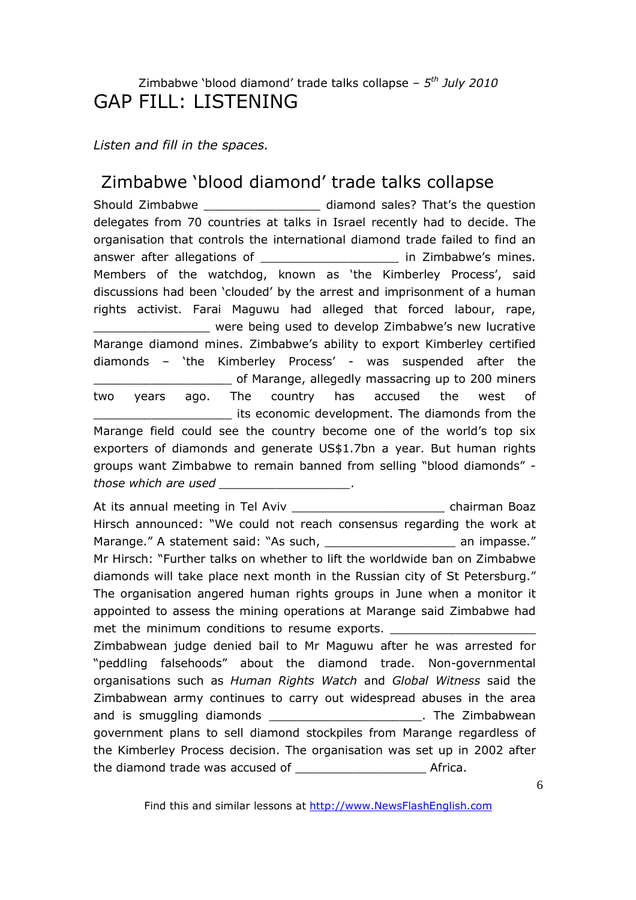## Zimbabwe 'blood diamond' trade talks collapse – *5 th July 2010* GAP FILL: LISTENING

*Listen and fill in the spaces.* 

# Zimbabwe 'blood diamond' trade talks collapse

Should Zimbabwe \_\_\_\_\_\_\_\_\_\_\_\_\_\_\_\_\_\_\_\_\_ diamond sales? That's the question delegates from 70 countries at talks in Israel recently had to decide. The organisation that controls the international diamond trade failed to find an answer after allegations of **Exercise 20** in Zimbabwe's mines. Members of the watchdog, known as 'the Kimberley Process', said discussions had been 'clouded' by the arrest and imprisonment of a human rights activist. Farai Maguwu had alleged that forced labour, rape, were being used to develop Zimbabwe's new lucrative Marange diamond mines. Zimbabwe's ability to export Kimberley certified diamonds – 'the Kimberley Process' - was suspended after the \_\_\_\_\_\_\_\_\_\_\_\_\_\_\_\_\_\_\_ of Marange, allegedly massacring up to 200 miners two years ago. The country has accused the west of its economic development. The diamonds from the Marange field could see the country become one of the world's top six exporters of diamonds and generate US\$1.7bn a year. But human rights groups want Zimbabwe to remain banned from selling "blood diamonds"  *those which are used \_\_\_\_\_\_\_\_\_\_\_\_\_\_\_\_\_\_.* 

At its annual meeting in Tel Aviv \_\_\_\_\_\_\_\_\_\_\_\_\_\_\_\_\_\_\_\_\_ chairman Boaz Hirsch announced: "We could not reach consensus regarding the work at Marange." A statement said: "As such, etc. and an impasse." Mr Hirsch: "Further talks on whether to lift the worldwide ban on Zimbabwe diamonds will take place next month in the Russian city of St Petersburg." The organisation angered human rights groups in June when a monitor it appointed to assess the mining operations at Marange said Zimbabwe had met the minimum conditions to resume exports. Zimbabwean judge denied bail to Mr Maguwu after he was arrested for "peddling falsehoods" about the diamond trade. Non-governmental organisations such as *Human Rights Watch* and *Global Witness* said the Zimbabwean army continues to carry out widespread abuses in the area and is smuggling diamonds and is smuggling diamonds government plans to sell diamond stockpiles from Marange regardless of the Kimberley Process decision. The organisation was set up in 2002 after the diamond trade was accused of \_\_\_\_\_\_\_\_\_\_\_\_\_\_\_\_\_\_ Africa.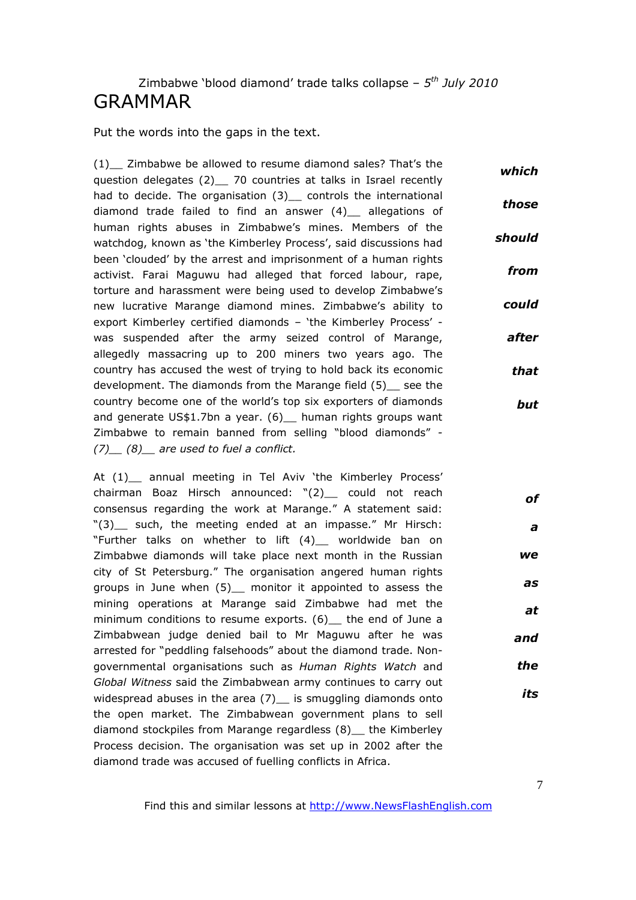### Zimbabwe 'blood diamond' trade talks collapse – *5 th July 2010* GRAMMAR

Put the words into the gaps in the text.

(1) Zimbabwe be allowed to resume diamond sales? That's the question delegates (2) 70 countries at talks in Israel recently had to decide. The organisation (3) controls the international diamond trade failed to find an answer (4)\_\_ allegations of human rights abuses in Zimbabwe's mines. Members of the watchdog, known as 'the Kimberley Process', said discussions had been 'clouded' by the arrest and imprisonment of a human rights activist. Farai Maguwu had alleged that forced labour, rape, torture and harassment were being used to develop Zimbabwe's new lucrative Marange diamond mines. Zimbabwe's ability to export Kimberley certified diamonds – 'the Kimberley Process' was suspended after the army seized control of Marange, allegedly massacring up to 200 miners two years ago. The country has accused the west of trying to hold back its economic development. The diamonds from the Marange field (5) see the country become one of the world's top six exporters of diamonds and generate US\$1.7bn a year. (6) human rights groups want Zimbabwe to remain banned from selling "blood diamonds" *- (7)\_\_ (8)\_\_ are used to fuel a conflict. which those should from could after that but*

At (1) annual meeting in Tel Aviv 'the Kimberley Process' chairman Boaz Hirsch announced: "(2)\_\_ could not reach consensus regarding the work at Marange." A statement said: "(3) such, the meeting ended at an impasse." Mr Hirsch: "Further talks on whether to lift (4)\_\_ worldwide ban on Zimbabwe diamonds will take place next month in the Russian city of St Petersburg." The organisation angered human rights groups in June when (5) monitor it appointed to assess the mining operations at Marange said Zimbabwe had met the minimum conditions to resume exports. (6) the end of June a Zimbabwean judge denied bail to Mr Maguwu after he was arrested for "peddling falsehoods" about the diamond trade. Nongovernmental organisations such as *Human Rights Watch* and *Global Witness* said the Zimbabwean army continues to carry out widespread abuses in the area  $(7)$  is smuggling diamonds onto the open market. The Zimbabwean government plans to sell diamond stockpiles from Marange regardless (8)\_\_ the Kimberley Process decision. The organisation was set up in 2002 after the diamond trade was accused of fuelling conflicts in Africa. *of we as at and the its*

*a*